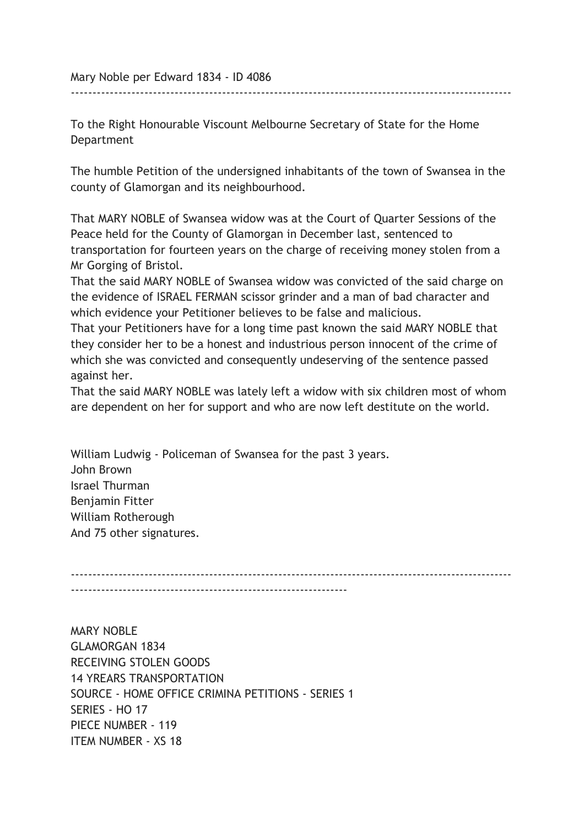Mary Noble per Edward 1834 - ID 4086

To the Right Honourable Viscount Melbourne Secretary of State for the Home Department

The humble Petition of the undersigned inhabitants of the town of Swansea in the county of Glamorgan and its neighbourhood.

------------------------------------------------------------------------------------------------------

That MARY NOBLE of Swansea widow was at the Court of Quarter Sessions of the Peace held for the County of Glamorgan in December last, sentenced to transportation for fourteen years on the charge of receiving money stolen from a Mr Gorging of Bristol.

That the said MARY NOBLE of Swansea widow was convicted of the said charge on the evidence of ISRAEL FERMAN scissor grinder and a man of bad character and which evidence your Petitioner believes to be false and malicious.

That your Petitioners have for a long time past known the said MARY NOBLE that they consider her to be a honest and industrious person innocent of the crime of which she was convicted and consequently undeserving of the sentence passed against her.

That the said MARY NOBLE was lately left a widow with six children most of whom are dependent on her for support and who are now left destitute on the world.

William Ludwig - Policeman of Swansea for the past 3 years. John Brown Israel Thurman Benjamin Fitter William Rotherough And 75 other signatures.

------------------------------------------------------------------------------------------------------ ----------------------------------------------------------------

MARY NOBLE GLAMORGAN 1834 RECEIVING STOLEN GOODS 14 YREARS TRANSPORTATION SOURCE - HOME OFFICE CRIMINA PETITIONS - SERIES 1 SERIES - HO 17 PIECE NUMBER - 119 ITEM NUMBER - XS 18